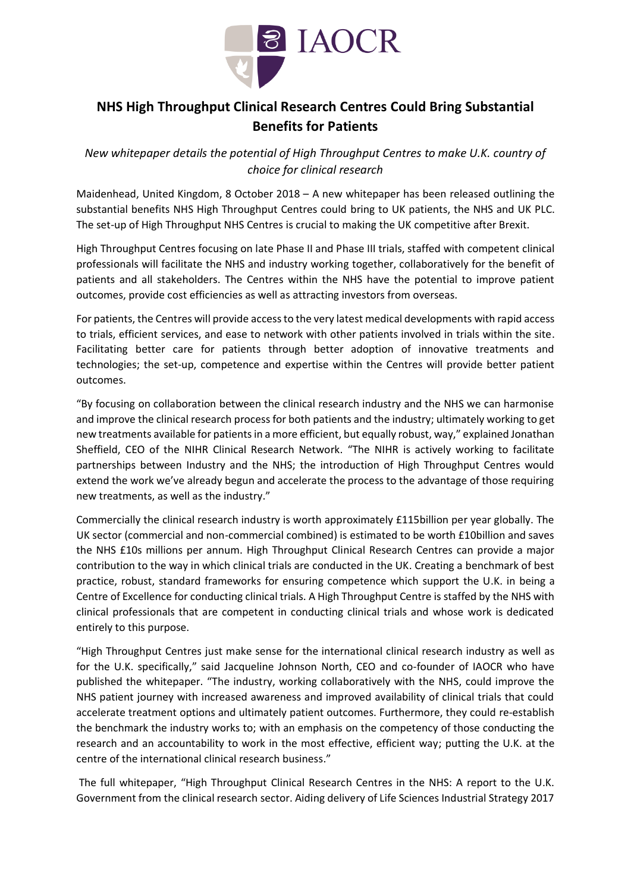

# **NHS High Throughput Clinical Research Centres Could Bring Substantial Benefits for Patients**

*New whitepaper details the potential of High Throughput Centres to make U.K. country of choice for clinical research*

Maidenhead, United Kingdom, 8 October 2018 – A new whitepaper has been released outlining the substantial benefits NHS High Throughput Centres could bring to UK patients, the NHS and UK PLC. The set-up of High Throughput NHS Centres is crucial to making the UK competitive after Brexit.

High Throughput Centres focusing on late Phase II and Phase III trials, staffed with competent clinical professionals will facilitate the NHS and industry working together, collaboratively for the benefit of patients and all stakeholders. The Centres within the NHS have the potential to improve patient outcomes, provide cost efficiencies as well as attracting investors from overseas.

For patients, the Centres will provide access to the very latest medical developments with rapid access to trials, efficient services, and ease to network with other patients involved in trials within the site. Facilitating better care for patients through better adoption of innovative treatments and technologies; the set-up, competence and expertise within the Centres will provide better patient outcomes.

"By focusing on collaboration between the clinical research industry and the NHS we can harmonise and improve the clinical research process for both patients and the industry; ultimately working to get new treatments available for patients in a more efficient, but equally robust, way," explained Jonathan Sheffield, CEO of the NIHR Clinical Research Network. "The NIHR is actively working to facilitate partnerships between Industry and the NHS; the introduction of High Throughput Centres would extend the work we've already begun and accelerate the process to the advantage of those requiring new treatments, as well as the industry."

Commercially the clinical research industry is worth approximately £115billion per year globally. The UK sector (commercial and non-commercial combined) is estimated to be worth £10billion and saves the NHS £10s millions per annum. High Throughput Clinical Research Centres can provide a major contribution to the way in which clinical trials are conducted in the UK. Creating a benchmark of best practice, robust, standard frameworks for ensuring competence which support the U.K. in being a Centre of Excellence for conducting clinical trials. A High Throughput Centre is staffed by the NHS with clinical professionals that are competent in conducting clinical trials and whose work is dedicated entirely to this purpose.

"High Throughput Centres just make sense for the international clinical research industry as well as for the U.K. specifically," said Jacqueline Johnson North, CEO and co-founder of IAOCR who have published the whitepaper. "The industry, working collaboratively with the NHS, could improve the NHS patient journey with increased awareness and improved availability of clinical trials that could accelerate treatment options and ultimately patient outcomes. Furthermore, they could re-establish the benchmark the industry works to; with an emphasis on the competency of those conducting the research and an accountability to work in the most effective, efficient way; putting the U.K. at the centre of the international clinical research business."

The full whitepaper, "High Throughput Clinical Research Centres in the NHS: A report to the U.K. Government from the clinical research sector. Aiding delivery of Life Sciences Industrial Strategy 2017